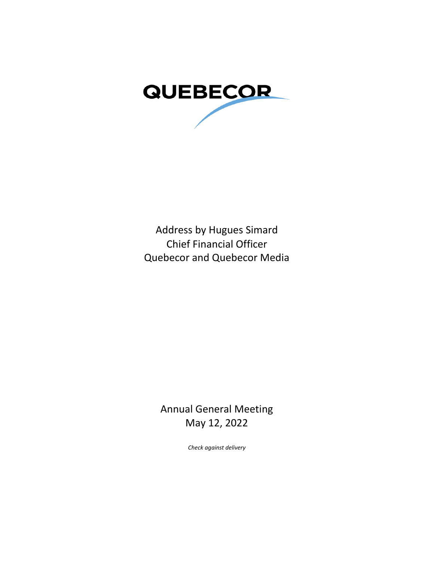

Address by Hugues Simard Chief Financial Officer Quebecor and Quebecor Media

> Annual General Meeting May 12, 2022

> > *Check against delivery*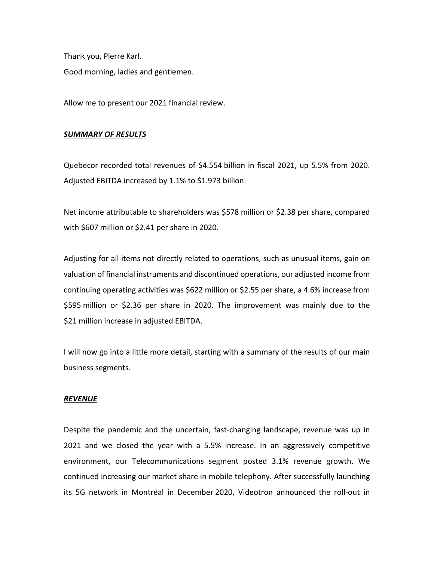Thank you, Pierre Karl. Good morning, ladies and gentlemen.

Allow me to present our 2021 financial review.

# *SUMMARY OF RESULTS*

Quebecor recorded total revenues of \$4.554 billion in fiscal 2021, up 5.5% from 2020. Adjusted EBITDA increased by 1.1% to \$1.973 billion.

Net income attributable to shareholders was \$578 million or \$2.38 per share, compared with \$607 million or \$2.41 per share in 2020.

Adjusting for all items not directly related to operations, such as unusual items, gain on valuation of financial instruments and discontinued operations, our adjusted income from continuing operating activities was \$622 million or \$2.55 per share, a 4.6% increase from \$595 million or \$2.36 per share in 2020. The improvement was mainly due to the \$21 million increase in adjusted EBITDA.

I will now go into a little more detail, starting with a summary of the results of our main business segments.

## *REVENUE*

Despite the pandemic and the uncertain, fast-changing landscape, revenue was up in 2021 and we closed the year with a 5.5% increase. In an aggressively competitive environment, our Telecommunications segment posted 3.1% revenue growth. We continued increasing our market share in mobile telephony. After successfully launching its 5G network in Montréal in December 2020, Videotron announced the roll-out in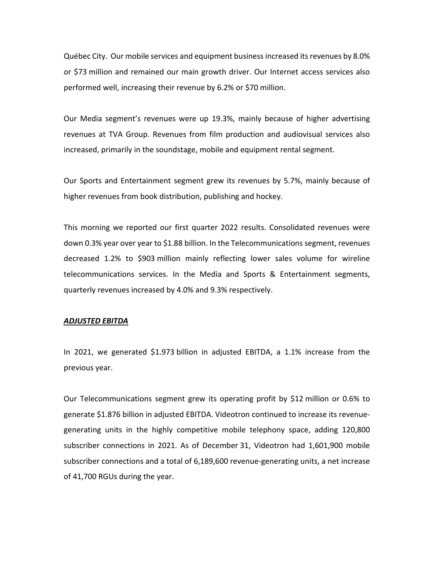Québec City. Our mobile services and equipment business increased its revenues by 8.0% or \$73 million and remained our main growth driver. Our Internet access services also performed well, increasing their revenue by 6.2% or \$70 million.

Our Media segment's revenues were up 19.3%, mainly because of higher advertising revenues at TVA Group. Revenues from film production and audiovisual services also increased, primarily in the soundstage, mobile and equipment rental segment.

Our Sports and Entertainment segment grew its revenues by 5.7%, mainly because of higher revenues from book distribution, publishing and hockey.

This morning we reported our first quarter 2022 results. Consolidated revenues were down 0.3% year over year to \$1.88 billion. In the Telecommunications segment, revenues decreased 1.2% to \$903 million mainly reflecting lower sales volume for wireline telecommunications services. In the Media and Sports & Entertainment segments, quarterly revenues increased by 4.0% and 9.3% respectively.

## *ADJUSTED EBITDA*

In 2021, we generated \$1.973 billion in adjusted EBITDA, a 1.1% increase from the previous year.

Our Telecommunications segment grew its operating profit by \$12 million or 0.6% to generate \$1.876 billion in adjusted EBITDA. Videotron continued to increase its revenuegenerating units in the highly competitive mobile telephony space, adding 120,800 subscriber connections in 2021. As of December 31, Videotron had 1,601,900 mobile subscriber connections and a total of 6,189,600 revenue-generating units, a net increase of 41,700 RGUs during the year.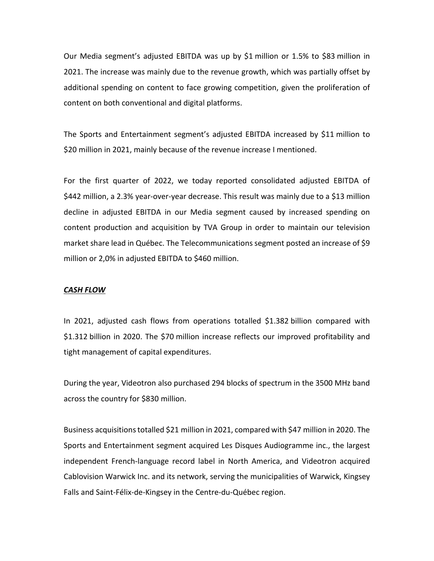Our Media segment's adjusted EBITDA was up by \$1 million or 1.5% to \$83 million in 2021. The increase was mainly due to the revenue growth, which was partially offset by additional spending on content to face growing competition, given the proliferation of content on both conventional and digital platforms.

The Sports and Entertainment segment's adjusted EBITDA increased by \$11 million to \$20 million in 2021, mainly because of the revenue increase I mentioned.

For the first quarter of 2022, we today reported consolidated adjusted EBITDA of \$442 million, a 2.3% year-over-year decrease. This result was mainly due to a \$13 million decline in adjusted EBITDA in our Media segment caused by increased spending on content production and acquisition by TVA Group in order to maintain our television market share lead in Québec. The Telecommunications segment posted an increase of \$9 million or 2,0% in adjusted EBITDA to \$460 million.

## *CASH FLOW*

In 2021, adjusted cash flows from operations totalled \$1.382 billion compared with \$1.312 billion in 2020. The \$70 million increase reflects our improved profitability and tight management of capital expenditures.

During the year, Videotron also purchased 294 blocks of spectrum in the 3500 MHz band across the country for \$830 million.

Business acquisitions totalled \$21 million in 2021, compared with \$47 million in 2020. The Sports and Entertainment segment acquired Les Disques Audiogramme inc., the largest independent French-language record label in North America, and Videotron acquired Cablovision Warwick Inc. and its network, serving the municipalities of Warwick, Kingsey Falls and Saint-Félix-de-Kingsey in the Centre-du-Québec region.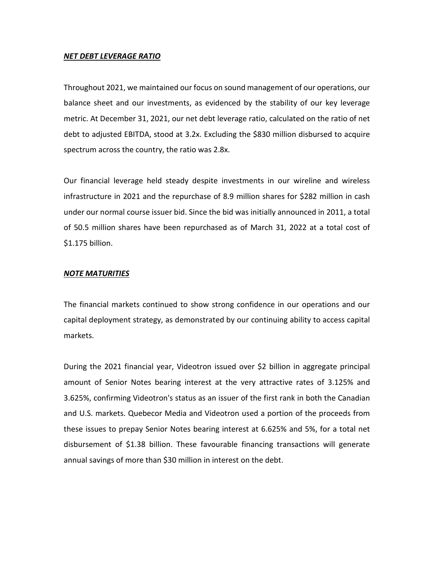## *NET DEBT LEVERAGE RATIO*

Throughout 2021, we maintained our focus on sound management of our operations, our balance sheet and our investments, as evidenced by the stability of our key leverage metric. At December 31, 2021, our net debt leverage ratio, calculated on the ratio of net debt to adjusted EBITDA, stood at 3.2x. Excluding the \$830 million disbursed to acquire spectrum across the country, the ratio was 2.8x.

Our financial leverage held steady despite investments in our wireline and wireless infrastructure in 2021 and the repurchase of 8.9 million shares for \$282 million in cash under our normal course issuer bid. Since the bid was initially announced in 2011, a total of 50.5 million shares have been repurchased as of March 31, 2022 at a total cost of \$1.175 billion.

## *NOTE MATURITIES*

The financial markets continued to show strong confidence in our operations and our capital deployment strategy, as demonstrated by our continuing ability to access capital markets.

During the 2021 financial year, Videotron issued over \$2 billion in aggregate principal amount of Senior Notes bearing interest at the very attractive rates of 3.125% and 3.625%, confirming Videotron's status as an issuer of the first rank in both the Canadian and U.S. markets. Quebecor Media and Videotron used a portion of the proceeds from these issues to prepay Senior Notes bearing interest at 6.625% and 5%, for a total net disbursement of \$1.38 billion. These favourable financing transactions will generate annual savings of more than \$30 million in interest on the debt.